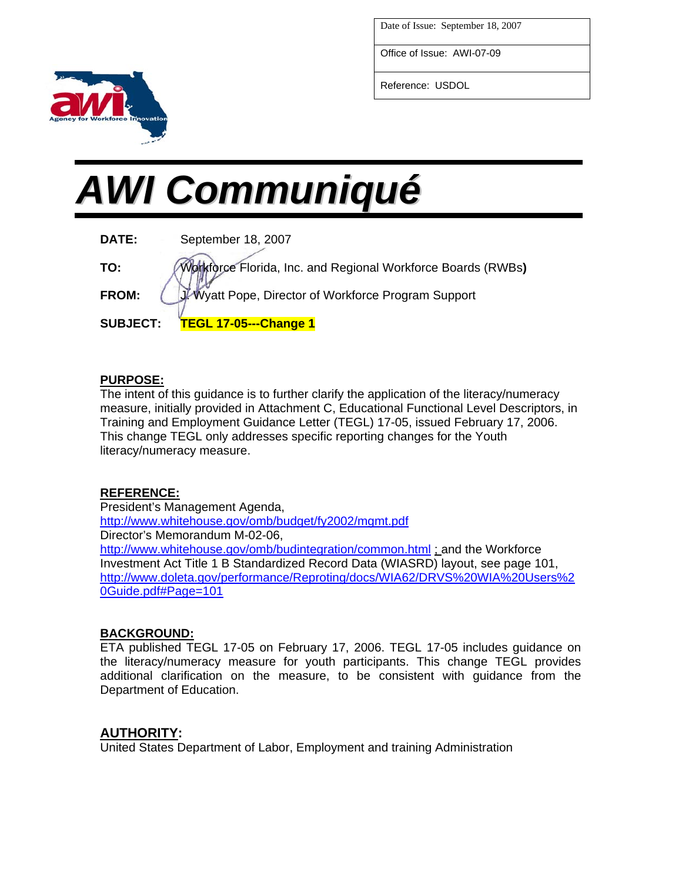Date of Issue: September 18, 2007

Office of Issue: AWI-07-09

Reference: USDOL

# *AWI Communiqué*

| DATE:           | September 18, 2007                                           |
|-----------------|--------------------------------------------------------------|
| TO:             | Workforce Florida, Inc. and Regional Workforce Boards (RWBs) |
| <b>FROM:</b>    | J. Wyatt Pope, Director of Workforce Program Support         |
| <b>SUBJECT:</b> | <b>TEGL 17-05---Change 1</b>                                 |

#### **PURPOSE:**

The intent of this guidance is to further clarify the application of the literacy/numeracy measure, initially provided in Attachment C, Educational Functional Level Descriptors, in Training and Employment Guidance Letter (TEGL) 17-05, issued February 17, 2006. This change TEGL only addresses specific reporting changes for the Youth literacy/numeracy measure.

## **REFERENCE:**

President's Management Agenda, <http://www.whitehouse.gov/omb/budget/fy2002/mgmt.pdf> Director's Memorandum M-02-06, <http://www.whitehouse.gov/omb/budintegration/common.html> ; and the Workforce Investment Act Title 1 B Standardized Record Data (WIASRD) layout, see page 101, [http://www.doleta.gov/performance/Reproting/docs/WIA62/DRVS%20WIA%20Users%2](http://www.doleta.gov/performance/Reproting/docs/WIA62/DRVS WIA Users Guide.pdf#Page=101) [0Guide.pdf#Page=101](http://www.doleta.gov/performance/Reproting/docs/WIA62/DRVS WIA Users Guide.pdf#Page=101)

## **BACKGROUND:**

ETA published TEGL 17-05 on February 17, 2006. TEGL 17-05 includes guidance on the literacy/numeracy measure for youth participants. This change TEGL provides additional clarification on the measure, to be consistent with guidance from the Department of Education.

## **AUTHORITY:**

United States Department of Labor, Employment and training Administration